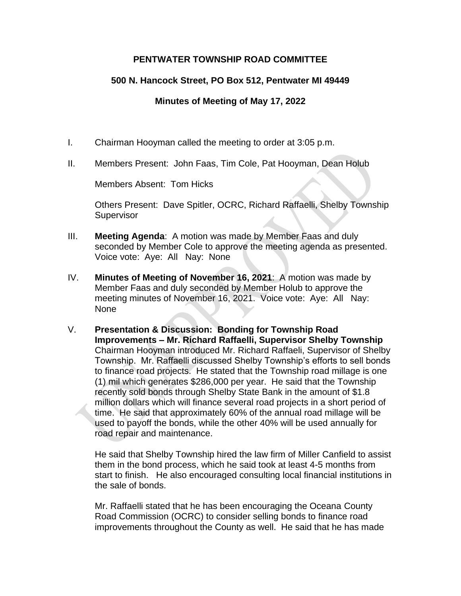## **PENTWATER TOWNSHIP ROAD COMMITTEE**

# **500 N. Hancock Street, PO Box 512, Pentwater MI 49449**

## **Minutes of Meeting of May 17, 2022**

- I. Chairman Hooyman called the meeting to order at 3:05 p.m.
- II. Members Present: John Faas, Tim Cole, Pat Hooyman, Dean Holub

Members Absent: Tom Hicks

Others Present: Dave Spitler, OCRC, Richard Raffaelli, Shelby Township Supervisor

- III. **Meeting Agenda**: A motion was made by Member Faas and duly seconded by Member Cole to approve the meeting agenda as presented. Voice vote: Aye: All Nay: None
- IV. **Minutes of Meeting of November 16, 2021**: A motion was made by Member Faas and duly seconded by Member Holub to approve the meeting minutes of November 16, 2021. Voice vote: Aye: All Nay: None
- V. **Presentation & Discussion: Bonding for Township Road Improvements – Mr. Richard Raffaelli, Supervisor Shelby Township** Chairman Hooyman introduced Mr. Richard Raffaeli, Supervisor of Shelby Township. Mr. Raffaelli discussed Shelby Township's efforts to sell bonds to finance road projects. He stated that the Township road millage is one (1) mil which generates \$286,000 per year. He said that the Township recently sold bonds through Shelby State Bank in the amount of \$1.8 million dollars which will finance several road projects in a short period of time. He said that approximately 60% of the annual road millage will be used to payoff the bonds, while the other 40% will be used annually for road repair and maintenance.

He said that Shelby Township hired the law firm of Miller Canfield to assist them in the bond process, which he said took at least 4-5 months from start to finish. He also encouraged consulting local financial institutions in the sale of bonds.

Mr. Raffaelli stated that he has been encouraging the Oceana County Road Commission (OCRC) to consider selling bonds to finance road improvements throughout the County as well. He said that he has made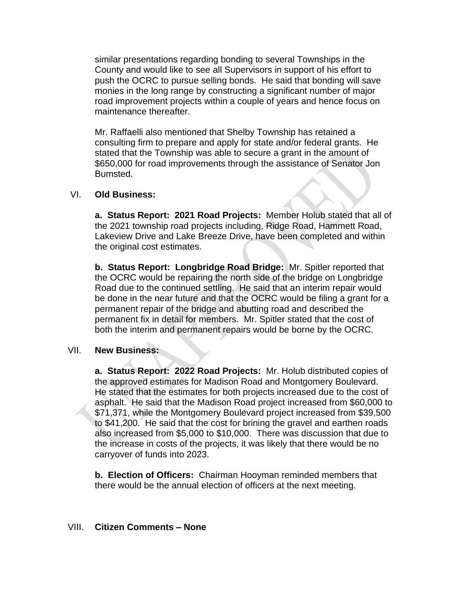similar presentations regarding bonding to several Townships in the County and would like to see all Supervisors in support of his effort to push the OCRC to pursue selling bonds. He said that bonding will save monies in the long range by constructing a significant number of major road improvement projects within a couple of years and hence focus on maintenance thereafter.

Mr. Raffaelli also mentioned that Shelby Township has retained a consulting firm to prepare and apply for state and/or federal grants. He stated that the Township was able to secure a grant in the amount of \$650,000 for road improvements through the assistance of Senator Jon Bumsted.

#### VI. **Old Business:**

**a. Status Report: 2021 Road Projects:** Member Holub stated that all of the 2021 township road projects including, Ridge Road, Hammett Road, Lakeview Drive and Lake Breeze Drive, have been completed and within the original cost estimates.

**b. Status Report: Longbridge Road Bridge:** Mr. Spitler reported that the OCRC would be repairing the north side of the bridge on Longbridge Road due to the continued settling. He said that an interim repair would be done in the near future and that the OCRC would be filing a grant for a permanent repair of the bridge and abutting road and described the permanent fix in detail for members. Mr. Spitler stated that the cost of both the interim and permanent repairs would be borne by the OCRC.

### VII. **New Business:**

**a. Status Report: 2022 Road Projects:** Mr. Holub distributed copies of the approved estimates for Madison Road and Montgomery Boulevard. He stated that the estimates for both projects increased due to the cost of asphalt. He said that the Madison Road project increased from \$60,000 to \$71,371, while the Montgomery Boulevard project increased from \$39,500 to \$41,200. He said that the cost for brining the gravel and earthen roads also increased from \$5,000 to \$10,000. There was discussion that due to the increase in costs of the projects, it was likely that there would be no carryover of funds into 2023.

**b. Election of Officers:** Chairman Hooyman reminded members that there would be the annual election of officers at the next meeting.

#### VIII. **Citizen Comments – None**